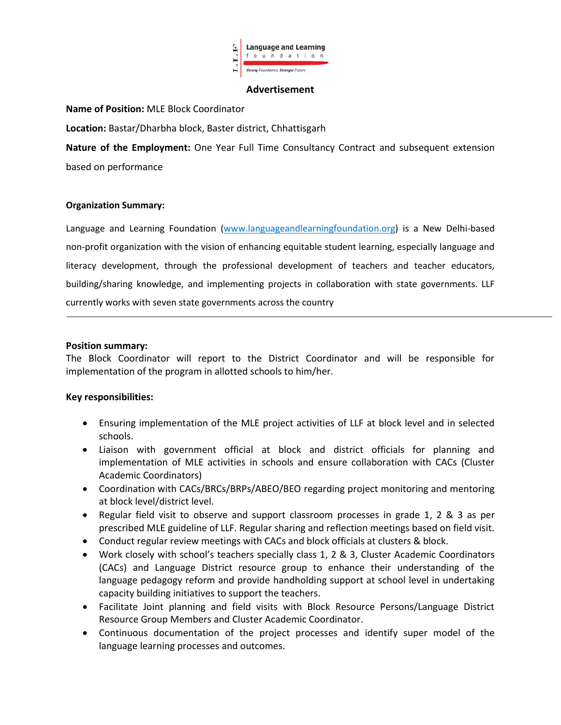

#### **Advertisement**

### **Name of Position:** MLE Block Coordinator

**Location:** Bastar/Dharbha block, Baster district, Chhattisgarh

**Nature of the Employment:** One Year Full Time Consultancy Contract and subsequent extension based on performance

### **Organization Summary:**

Language and Learning Foundation (www.languageandlearningfoundation.org) is a New Delhi-based non-profit organization with the vision of enhancing equitable student learning, especially language and literacy development, through the professional development of teachers and teacher educators, building/sharing knowledge, and implementing projects in collaboration with state governments. LLF currently works with seven state governments across the country

#### **Position summary:**

The Block Coordinator will report to the District Coordinator and will be responsible for implementation of the program in allotted schools to him/her.

### **Key responsibilities:**

- Ensuring implementation of the MLE project activities of LLF at block level and in selected schools.
- Liaison with government official at block and district officials for planning and implementation of MLE activities in schools and ensure collaboration with CACs (Cluster Academic Coordinators)
- Coordination with CACs/BRCs/BRPs/ABEO/BEO regarding project monitoring and mentoring at block level/district level.
- Regular field visit to observe and support classroom processes in grade 1, 2 & 3 as per prescribed MLE guideline of LLF. Regular sharing and reflection meetings based on field visit.
- Conduct regular review meetings with CACs and block officials at clusters & block.
- Work closely with school's teachers specially class 1, 2 & 3, Cluster Academic Coordinators (CACs) and Language District resource group to enhance their understanding of the language pedagogy reform and provide handholding support at school level in undertaking capacity building initiatives to support the teachers.
- Facilitate Joint planning and field visits with Block Resource Persons/Language District Resource Group Members and Cluster Academic Coordinator.
- Continuous documentation of the project processes and identify super model of the language learning processes and outcomes.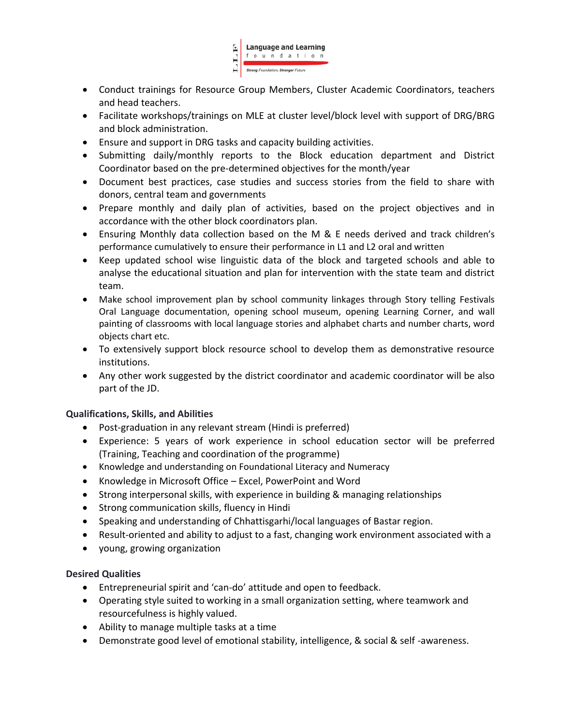

- Conduct trainings for Resource Group Members, Cluster Academic Coordinators, teachers and head teachers.
- Facilitate workshops/trainings on MLE at cluster level/block level with support of DRG/BRG and block administration.
- Ensure and support in DRG tasks and capacity building activities.
- Submitting daily/monthly reports to the Block education department and District Coordinator based on the pre-determined objectives for the month/year
- Document best practices, case studies and success stories from the field to share with donors, central team and governments
- Prepare monthly and daily plan of activities, based on the project objectives and in accordance with the other block coordinators plan.
- Ensuring Monthly data collection based on the M & E needs derived and track children's performance cumulatively to ensure their performance in L1 and L2 oral and written
- Keep updated school wise linguistic data of the block and targeted schools and able to analyse the educational situation and plan for intervention with the state team and district team.
- Make school improvement plan by school community linkages through Story telling Festivals Oral Language documentation, opening school museum, opening Learning Corner, and wall painting of classrooms with local language stories and alphabet charts and number charts, word objects chart etc.
- To extensively support block resource school to develop them as demonstrative resource institutions.
- Any other work suggested by the district coordinator and academic coordinator will be also part of the JD.

## **Qualifications, Skills, and Abilities**

- Post-graduation in any relevant stream (Hindi is preferred)
- Experience: 5 years of work experience in school education sector will be preferred (Training, Teaching and coordination of the programme)
- Knowledge and understanding on Foundational Literacy and Numeracy
- Knowledge in Microsoft Office Excel, PowerPoint and Word
- Strong interpersonal skills, with experience in building & managing relationships
- Strong communication skills, fluency in Hindi
- Speaking and understanding of Chhattisgarhi/local languages of Bastar region.
- Result-oriented and ability to adjust to a fast, changing work environment associated with a
- young, growing organization

## **Desired Qualities**

- Entrepreneurial spirit and 'can-do' attitude and open to feedback.
- Operating style suited to working in a small organization setting, where teamwork and resourcefulness is highly valued.
- Ability to manage multiple tasks at a time
- Demonstrate good level of emotional stability, intelligence, & social & self -awareness.